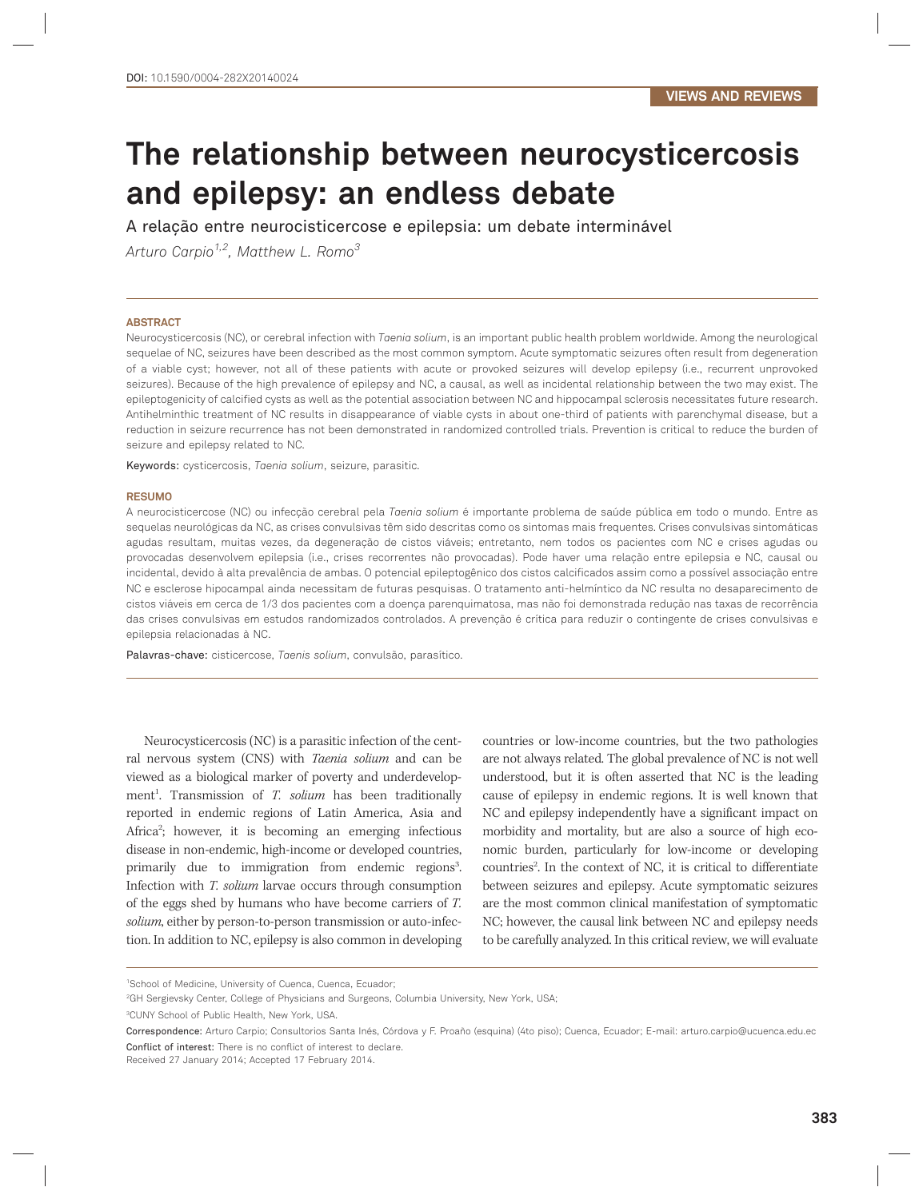# The relationship between neurocysticercosis and epilepsy: an endless debate

A relação entre neurocisticercose e epilepsia: um debate interminável

Arturo Carpio<sup>1,2</sup>, Matthew L. Romo<sup>3</sup>

#### ABSTRACT

Neurocysticercosis (NC), or cerebral infection with Taenia solium, is an important public health problem worldwide. Among the neurological sequelae of NC, seizures have been described as the most common symptom. Acute symptomatic seizures often result from degeneration of a viable cyst; however, not all of these patients with acute or provoked seizures will develop epilepsy (i.e., recurrent unprovoked seizures). Because of the high prevalence of epilepsy and NC, a causal, as well as incidental relationship between the two may exist. The epileptogenicity of calcified cysts as well as the potential association between NC and hippocampal sclerosis necessitates future research. Antihelminthic treatment of NC results in disappearance of viable cysts in about one-third of patients with parenchymal disease, but a reduction in seizure recurrence has not been demonstrated in randomized controlled trials. Prevention is critical to reduce the burden of seizure and epilepsy related to NC.

Keywords: cysticercosis, Taenia solium, seizure, parasitic.

#### RESUMO

A neurocisticercose (NC) ou infecção cerebral pela Taenia solium é importante problema de saúde pública em todo o mundo. Entre as sequelas neurológicas da NC, as crises convulsivas têm sido descritas como os sintomas mais frequentes. Crises convulsivas sintomáticas agudas resultam, muitas vezes, da degeneração de cistos viáveis; entretanto, nem todos os pacientes com NC e crises agudas ou provocadas desenvolvem epilepsia (i.e., crises recorrentes não provocadas). Pode haver uma relação entre epilepsia e NC, causal ou incidental, devido à alta prevalência de ambas. O potencial epileptogênico dos cistos calcificados assim como a possível associação entre NC e esclerose hipocampal ainda necessitam de futuras pesquisas. O tratamento anti-helmíntico da NC resulta no desaparecimento de cistos viáveis em cerca de 1/3 dos pacientes com a doença parenquimatosa, mas não foi demonstrada redução nas taxas de recorrência das crises convulsivas em estudos randomizados controlados. A prevenção é crítica para reduzir o contingente de crises convulsivas e epilepsia relacionadas à NC.

Palavras-chave: cisticercose, Taenis solium, convulsão, parasítico.

Neurocysticercosis (NC) is a parasitic infection of the central nervous system (CNS) with Taenia solium and can be viewed as a biological marker of poverty and underdevelopment<sup>1</sup>. Transmission of T. solium has been traditionally reported in endemic regions of Latin America, Asia and Africa<sup>2</sup>; however, it is becoming an emerging infectious disease in non-endemic, high-income or developed countries, primarily due to immigration from endemic regions<sup>3</sup>. . Infection with T. solium larvae occurs through consumption of the eggs shed by humans who have become carriers of T. solium, either by person-to-person transmission or auto-infection. In addition to NC, epilepsy is also common in developing countries or low-income countries, but the two pathologies are not always related. The global prevalence of NC is not well understood, but it is often asserted that NC is the leading cause of epilepsy in endemic regions. It is well known that NC and epilepsy independently have a significant impact on morbidity and mortality, but are also a source of high economic burden, particularly for low-income or developing countries<sup>2</sup>. In the context of NC, it is critical to differentiate between seizures and epilepsy. Acute symptomatic seizures are the most common clinical manifestation of symptomatic NC; however, the causal link between NC and epilepsy needs to be carefully analyzed. In this critical review, we will evaluate

<sup>1</sup> School of Medicine, University of Cuenca, Cuenca, Ecuador;

<sup>2</sup> GH Sergievsky Center, College of Physicians and Surgeons, Columbia University, New York, USA;

<sup>3</sup> CUNY School of Public Health, New York, USA.

Correspondence: Arturo Carpio; Consultorios Santa Inés, Córdova y F. Proaño (esquina) (4to piso); Cuenca, Ecuador; E-mail: arturo.carpio@ucuenca.edu.ec Conflict of interest: There is no conflict of interest to declare.

Received 27 January 2014; Accepted 17 February 2014.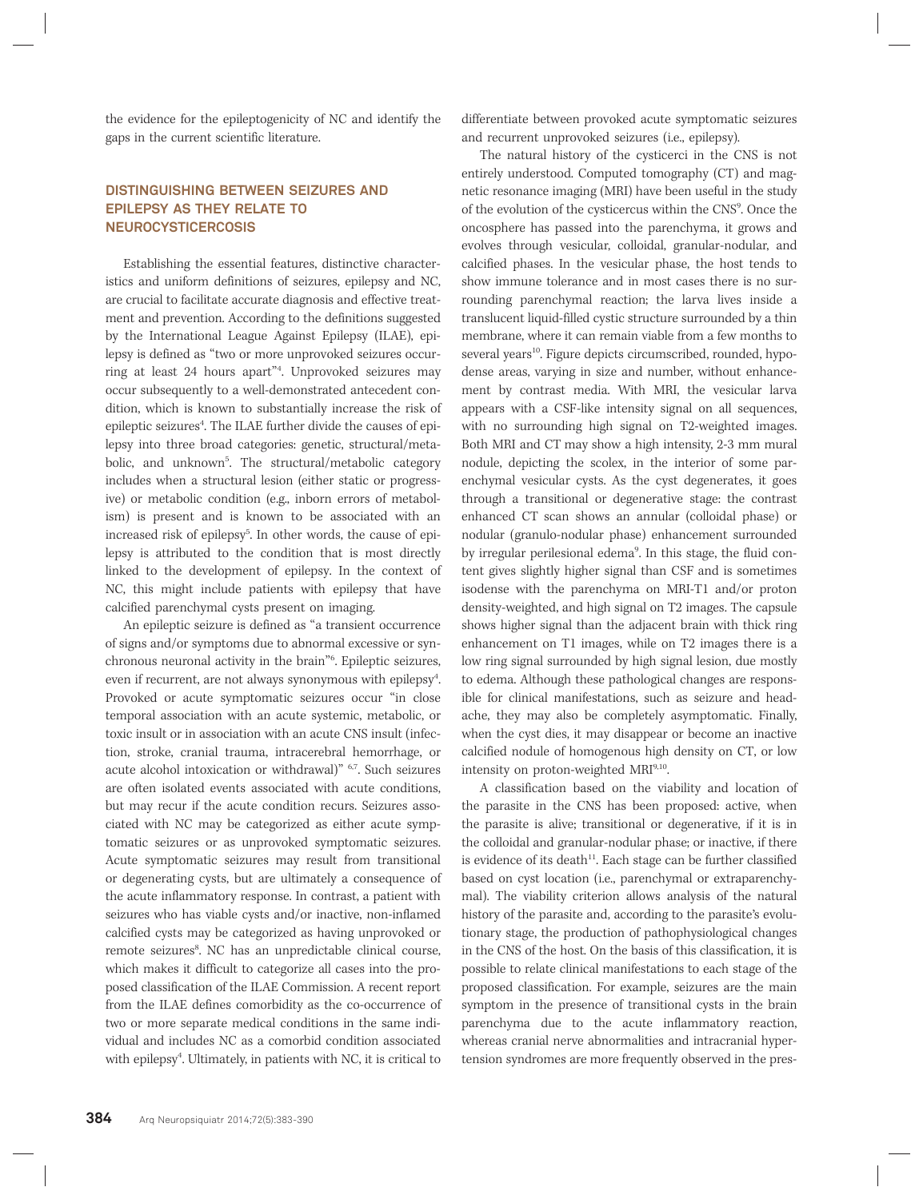the evidence for the epileptogenicity of NC and identify the gaps in the current scientific literature.

## DISTINGUISHING BETWEEN SEIZURES AND EPILEPSY AS THEY RELATE TO **NEUROCYSTICERCOSIS**

Establishing the essential features, distinctive characteristics and uniform definitions of seizures, epilepsy and NC, are crucial to facilitate accurate diagnosis and effective treatment and prevention. According to the definitions suggested by the International League Against Epilepsy (ILAE), epilepsy is defined as "two or more unprovoked seizures occurring at least 24 hours apart"<sup>4</sup> . Unprovoked seizures may occur subsequently to a well-demonstrated antecedent condition, which is known to substantially increase the risk of epileptic seizures<sup>4</sup>. The ILAE further divide the causes of epilepsy into three broad categories: genetic, structural/metabolic, and unknown<sup>5</sup>. The structural/metabolic category includes when a structural lesion (either static or progressive) or metabolic condition (e.g., inborn errors of metabolism) is present and is known to be associated with an increased risk of epilepsy<sup>5</sup>. In other words, the cause of epilepsy is attributed to the condition that is most directly linked to the development of epilepsy. In the context of NC, this might include patients with epilepsy that have calcified parenchymal cysts present on imaging.

An epileptic seizure is defined as "a transient occurrence of signs and/or symptoms due to abnormal excessive or synchronous neuronal activity in the brain"<sup>6</sup> . Epileptic seizures, even if recurrent, are not always synonymous with epilepsy<sup>4</sup>. . Provoked or acute symptomatic seizures occur "in close temporal association with an acute systemic, metabolic, or toxic insult or in association with an acute CNS insult (infection, stroke, cranial trauma, intracerebral hemorrhage, or acute alcohol intoxication or withdrawal)" <sup>6,7</sup>. Such seizures are often isolated events associated with acute conditions, but may recur if the acute condition recurs. Seizures associated with NC may be categorized as either acute symptomatic seizures or as unprovoked symptomatic seizures. Acute symptomatic seizures may result from transitional or degenerating cysts, but are ultimately a consequence of the acute inflammatory response. In contrast, a patient with seizures who has viable cysts and/or inactive, non-inflamed calcified cysts may be categorized as having unprovoked or remote seizures<sup>8</sup>. NC has an unpredictable clinical course, which makes it difficult to categorize all cases into the proposed classification of the ILAE Commission. A recent report from the ILAE defines comorbidity as the co-occurrence of two or more separate medical conditions in the same individual and includes NC as a comorbid condition associated with epilepsy<sup>4</sup>. Ultimately, in patients with NC, it is critical to

differentiate between provoked acute symptomatic seizures and recurrent unprovoked seizures (i.e., epilepsy).

The natural history of the cysticerci in the CNS is not entirely understood. Computed tomography (CT) and magnetic resonance imaging (MRI) have been useful in the study of the evolution of the cysticercus within the CNS<sup>9</sup>. Once the oncosphere has passed into the parenchyma, it grows and evolves through vesicular, colloidal, granular-nodular, and calcified phases. In the vesicular phase, the host tends to show immune tolerance and in most cases there is no surrounding parenchymal reaction; the larva lives inside a translucent liquid-filled cystic structure surrounded by a thin membrane, where it can remain viable from a few months to several years<sup>10</sup>. Figure depicts circumscribed, rounded, hypodense areas, varying in size and number, without enhancement by contrast media. With MRI, the vesicular larva appears with a CSF-like intensity signal on all sequences, with no surrounding high signal on T2-weighted images. Both MRI and CT may show a high intensity, 2-3 mm mural nodule, depicting the scolex, in the interior of some parenchymal vesicular cysts. As the cyst degenerates, it goes through a transitional or degenerative stage: the contrast enhanced CT scan shows an annular (colloidal phase) or nodular (granulo-nodular phase) enhancement surrounded by irregular perilesional edema<sup>9</sup>. In this stage, the fluid content gives slightly higher signal than CSF and is sometimes isodense with the parenchyma on MRI-T1 and/or proton density-weighted, and high signal on T2 images. The capsule shows higher signal than the adjacent brain with thick ring enhancement on T1 images, while on T2 images there is a low ring signal surrounded by high signal lesion, due mostly to edema. Although these pathological changes are responsible for clinical manifestations, such as seizure and headache, they may also be completely asymptomatic. Finally, when the cyst dies, it may disappear or become an inactive calcified nodule of homogenous high density on CT, or low intensity on proton-weighted MRI9,10.

A classification based on the viability and location of the parasite in the CNS has been proposed: active, when the parasite is alive; transitional or degenerative, if it is in the colloidal and granular-nodular phase; or inactive, if there is evidence of its death $11$ . Each stage can be further classified based on cyst location (i.e., parenchymal or extraparenchymal). The viability criterion allows analysis of the natural history of the parasite and, according to the parasite's evolutionary stage, the production of pathophysiological changes in the CNS of the host. On the basis of this classification, it is possible to relate clinical manifestations to each stage of the proposed classification. For example, seizures are the main symptom in the presence of transitional cysts in the brain parenchyma due to the acute inflammatory reaction, whereas cranial nerve abnormalities and intracranial hypertension syndromes are more frequently observed in the pres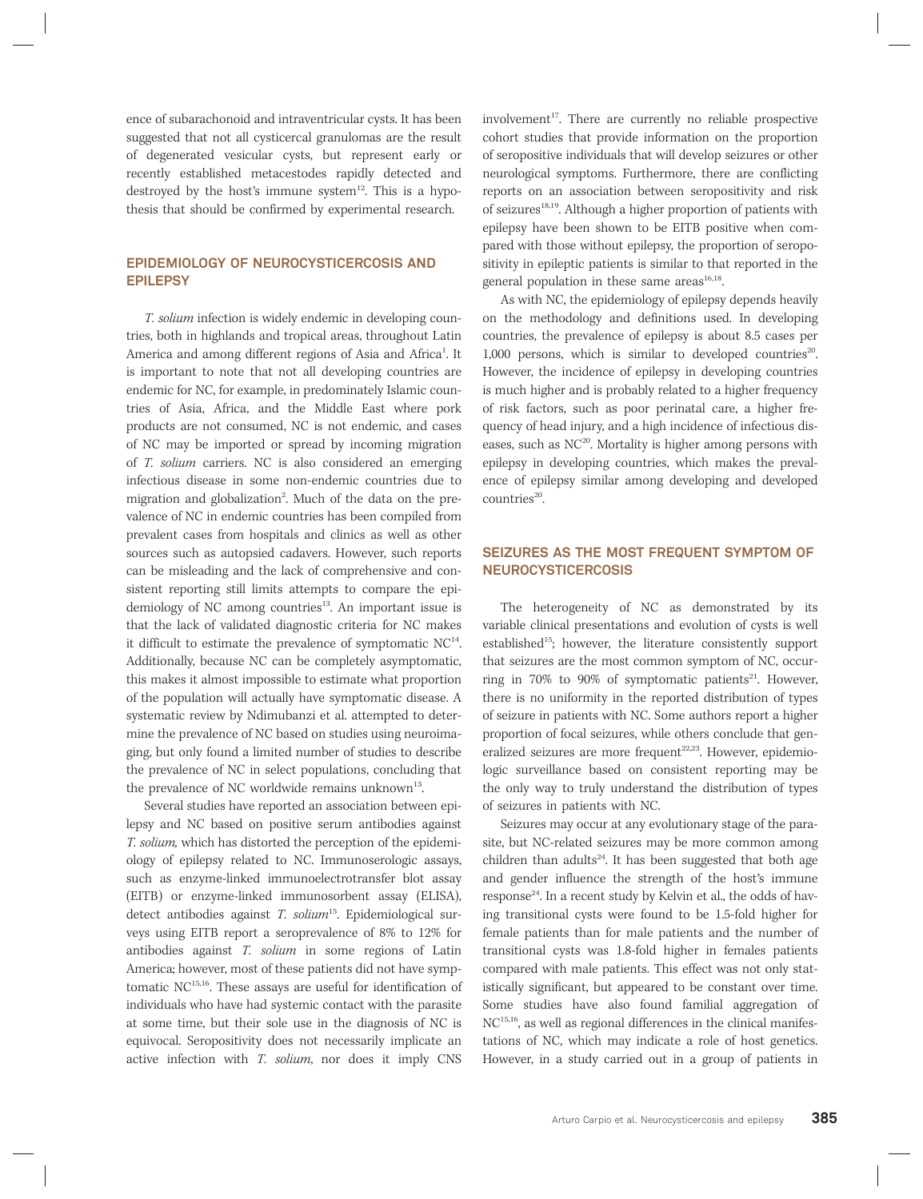ence of subarachonoid and intraventricular cysts. It has been suggested that not all cysticercal granulomas are the result of degenerated vesicular cysts, but represent early or recently established metacestodes rapidly detected and destroyed by the host's immune system<sup>12</sup>. This is a hypothesis that should be confirmed by experimental research.

## EPIDEMIOLOGY OF NEUROCYSTICERCOSIS AND **EPILEPSY**

T. solium infection is widely endemic in developing countries, both in highlands and tropical areas, throughout Latin America and among different regions of Asia and Africa<sup>1</sup>. It is important to note that not all developing countries are endemic for NC, for example, in predominately Islamic countries of Asia, Africa, and the Middle East where pork products are not consumed, NC is not endemic, and cases of NC may be imported or spread by incoming migration of T. solium carriers. NC is also considered an emerging infectious disease in some non-endemic countries due to migration and globalization<sup>2</sup>. Much of the data on the prevalence of NC in endemic countries has been compiled from prevalent cases from hospitals and clinics as well as other sources such as autopsied cadavers. However, such reports can be misleading and the lack of comprehensive and consistent reporting still limits attempts to compare the epidemiology of NC among countries<sup>13</sup>. An important issue is that the lack of validated diagnostic criteria for NC makes it difficult to estimate the prevalence of symptomatic  $NC^{14}$ . Additionally, because NC can be completely asymptomatic, this makes it almost impossible to estimate what proportion of the population will actually have symptomatic disease. A systematic review by Ndimubanzi et al. attempted to determine the prevalence of NC based on studies using neuroimaging, but only found a limited number of studies to describe the prevalence of NC in select populations, concluding that the prevalence of NC worldwide remains unknown<sup>13</sup>.

Several studies have reported an association between epilepsy and NC based on positive serum antibodies against T. solium, which has distorted the perception of the epidemiology of epilepsy related to NC. Immunoserologic assays, such as enzyme-linked immunoelectrotransfer blot assay (EITB) or enzyme-linked immunosorbent assay (ELISA), detect antibodies against  $T.$  solium<sup>15</sup>. Epidemiological surveys using EITB report a seroprevalence of 8% to 12% for antibodies against T. solium in some regions of Latin America; however, most of these patients did not have symptomatic NC15,16. These assays are useful for identification of individuals who have had systemic contact with the parasite at some time, but their sole use in the diagnosis of NC is equivocal. Seropositivity does not necessarily implicate an active infection with T. solium, nor does it imply CNS

involvement<sup>17</sup>. There are currently no reliable prospective cohort studies that provide information on the proportion of seropositive individuals that will develop seizures or other neurological symptoms. Furthermore, there are conflicting reports on an association between seropositivity and risk of seizures<sup>18,19</sup>. Although a higher proportion of patients with epilepsy have been shown to be EITB positive when compared with those without epilepsy, the proportion of seropositivity in epileptic patients is similar to that reported in the general population in these same  $area<sup>16,18</sup>$ .

As with NC, the epidemiology of epilepsy depends heavily on the methodology and definitions used. In developing countries, the prevalence of epilepsy is about 8.5 cases per 1,000 persons, which is similar to developed countries<sup>20</sup>. However, the incidence of epilepsy in developing countries is much higher and is probably related to a higher frequency of risk factors, such as poor perinatal care, a higher frequency of head injury, and a high incidence of infectious diseases, such as NC<sup>20</sup>. Mortality is higher among persons with epilepsy in developing countries, which makes the prevalence of epilepsy similar among developing and developed countries<sup>20</sup>.

### SEIZURES AS THE MOST FREQUENT SYMPTOM OF NEUROCYSTICERCOSIS

The heterogeneity of NC as demonstrated by its variable clinical presentations and evolution of cysts is well established<sup>15</sup>; however, the literature consistently support that seizures are the most common symptom of NC, occurring in 70% to 90% of symptomatic patients<sup>21</sup>. However, there is no uniformity in the reported distribution of types of seizure in patients with NC. Some authors report a higher proportion of focal seizures, while others conclude that generalized seizures are more frequent<sup> $22,23$ </sup>. However, epidemiologic surveillance based on consistent reporting may be the only way to truly understand the distribution of types of seizures in patients with NC.

Seizures may occur at any evolutionary stage of the parasite, but NC-related seizures may be more common among children than adults<sup>24</sup>. It has been suggested that both age and gender influence the strength of the host's immune response<sup>24</sup>. In a recent study by Kelvin et al., the odds of having transitional cysts were found to be 1.5-fold higher for female patients than for male patients and the number of transitional cysts was 1.8-fold higher in females patients compared with male patients. This effect was not only statistically significant, but appeared to be constant over time. Some studies have also found familial aggregation of NC15,16, as well as regional differences in the clinical manifestations of NC, which may indicate a role of host genetics. However, in a study carried out in a group of patients in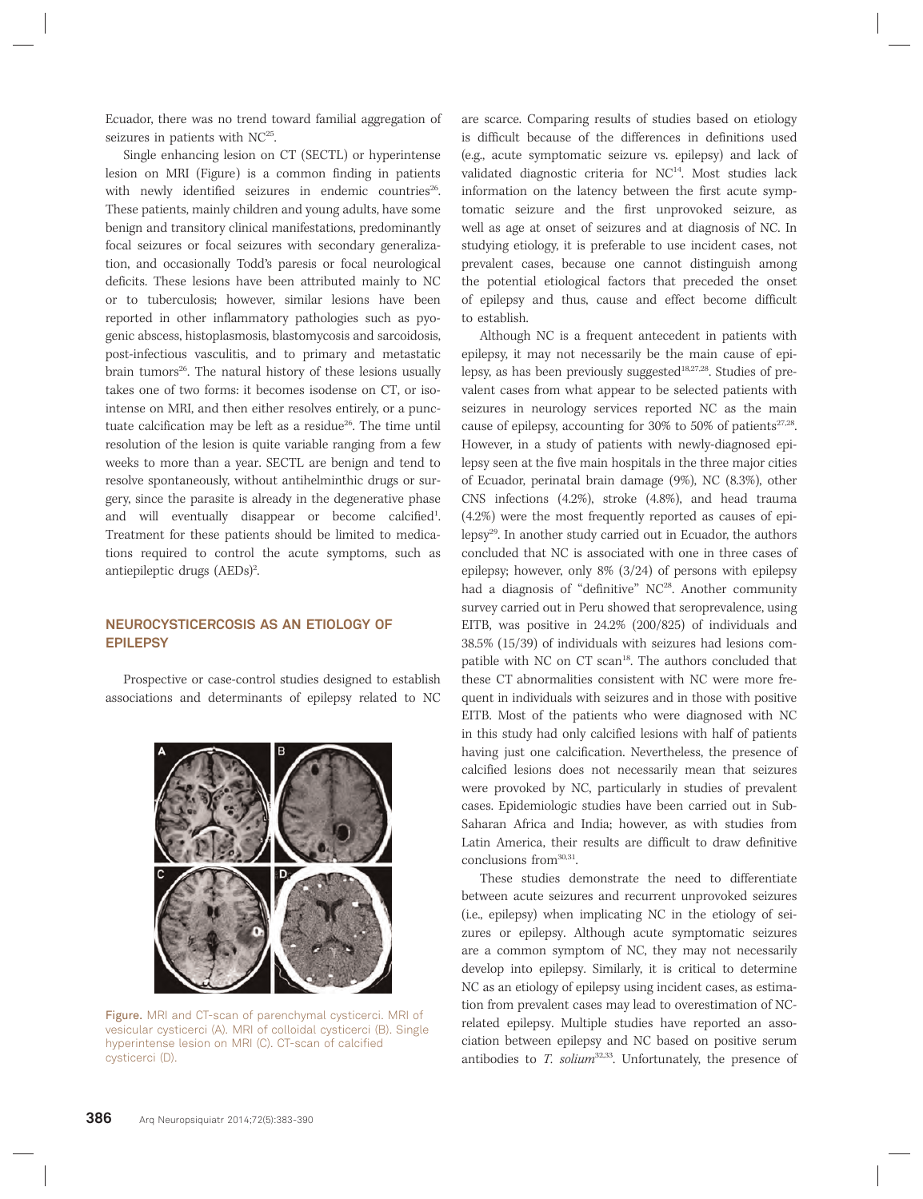Ecuador, there was no trend toward familial aggregation of seizures in patients with  $NC^{25}$ .

Single enhancing lesion on CT (SECTL) or hyperintense lesion on MRI (Figure) is a common finding in patients with newly identified seizures in endemic countries<sup>26</sup>. These patients, mainly children and young adults, have some benign and transitory clinical manifestations, predominantly focal seizures or focal seizures with secondary generalization, and occasionally Todd's paresis or focal neurological deficits. These lesions have been attributed mainly to NC or to tuberculosis; however, similar lesions have been reported in other inflammatory pathologies such as pyogenic abscess, histoplasmosis, blastomycosis and sarcoidosis, post-infectious vasculitis, and to primary and metastatic brain tumors<sup>26</sup>. The natural history of these lesions usually takes one of two forms: it becomes isodense on CT, or isointense on MRI, and then either resolves entirely, or a punctuate calcification may be left as a residue<sup>26</sup>. The time until resolution of the lesion is quite variable ranging from a few weeks to more than a year. SECTL are benign and tend to resolve spontaneously, without antihelminthic drugs or surgery, since the parasite is already in the degenerative phase and will eventually disappear or become calcified<sup>1</sup>. . Treatment for these patients should be limited to medications required to control the acute symptoms, such as antiepileptic drugs  $(AEDs)^2$ . .

## NEUROCYSTICERCOSIS AS AN ETIOLOGY OF **EPILEPSY**

Prospective or case-control studies designed to establish associations and determinants of epilepsy related to NC



Figure. MRI and CT-scan of parenchymal cysticerci. MRI of vesicular cysticerci (A). MRI of colloidal cysticerci (B). Single hyperintense lesion on MRI (C). CT-scan of calcified cysticerci (D).

are scarce. Comparing results of studies based on etiology is difficult because of the differences in definitions used (e.g., acute symptomatic seizure vs. epilepsy) and lack of validated diagnostic criteria for NC<sup>14</sup>. Most studies lack information on the latency between the first acute symptomatic seizure and the first unprovoked seizure, as well as age at onset of seizures and at diagnosis of NC. In studying etiology, it is preferable to use incident cases, not prevalent cases, because one cannot distinguish among the potential etiological factors that preceded the onset of epilepsy and thus, cause and effect become difficult to establish.

Although NC is a frequent antecedent in patients with epilepsy, it may not necessarily be the main cause of epilepsy, as has been previously suggested $18,27,28$ . Studies of prevalent cases from what appear to be selected patients with seizures in neurology services reported NC as the main cause of epilepsy, accounting for 30% to 50% of patients $27.28$ . However, in a study of patients with newly-diagnosed epilepsy seen at the five main hospitals in the three major cities of Ecuador, perinatal brain damage (9%), NC (8.3%), other CNS infections (4.2%), stroke (4.8%), and head trauma (4.2%) were the most frequently reported as causes of epilepsy29. In another study carried out in Ecuador, the authors concluded that NC is associated with one in three cases of epilepsy; however, only 8% (3/24) of persons with epilepsy had a diagnosis of "definitive" NC<sup>28</sup>. Another community survey carried out in Peru showed that seroprevalence, using EITB, was positive in 24.2% (200/825) of individuals and 38.5% (15/39) of individuals with seizures had lesions compatible with NC on CT scan<sup>18</sup>. The authors concluded that these CT abnormalities consistent with NC were more frequent in individuals with seizures and in those with positive EITB. Most of the patients who were diagnosed with NC in this study had only calcified lesions with half of patients having just one calcification. Nevertheless, the presence of calcified lesions does not necessarily mean that seizures were provoked by NC, particularly in studies of prevalent cases. Epidemiologic studies have been carried out in Sub-Saharan Africa and India; however, as with studies from Latin America, their results are difficult to draw definitive conclusions from<sup>30,31</sup>.

These studies demonstrate the need to differentiate between acute seizures and recurrent unprovoked seizures (i.e., epilepsy) when implicating NC in the etiology of seizures or epilepsy. Although acute symptomatic seizures are a common symptom of NC, they may not necessarily develop into epilepsy. Similarly, it is critical to determine NC as an etiology of epilepsy using incident cases, as estimation from prevalent cases may lead to overestimation of NCrelated epilepsy. Multiple studies have reported an association between epilepsy and NC based on positive serum antibodies to  $T.$  solium<sup>32,33</sup>. Unfortunately, the presence of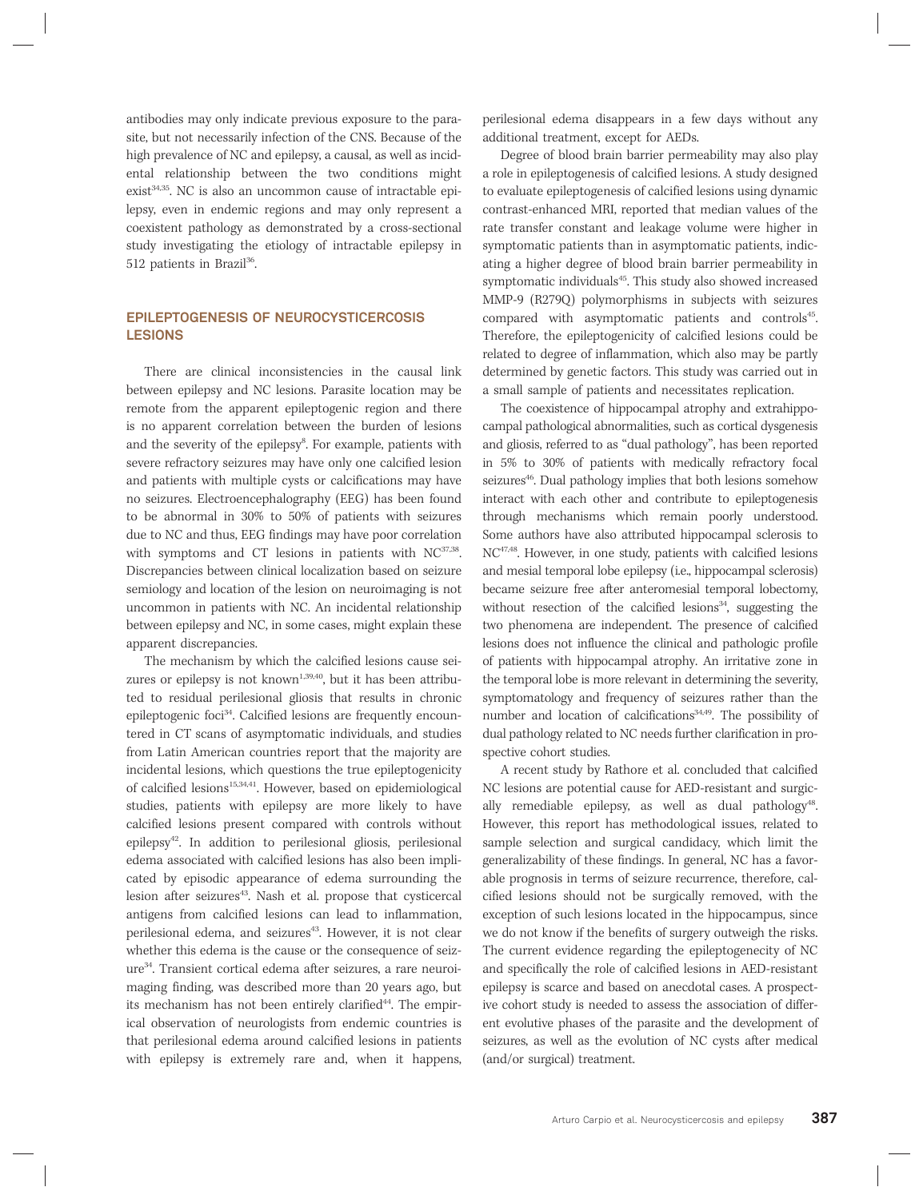antibodies may only indicate previous exposure to the parasite, but not necessarily infection of the CNS. Because of the high prevalence of NC and epilepsy, a causal, as well as incidental relationship between the two conditions might exist<sup>34,35</sup>. NC is also an uncommon cause of intractable epilepsy, even in endemic regions and may only represent a coexistent pathology as demonstrated by a cross-sectional study investigating the etiology of intractable epilepsy in 512 patients in Brazil<sup>36</sup>.

#### EPILEPTOGENESIS OF NEUROCYSTICERCOSIS LESIONS

There are clinical inconsistencies in the causal link between epilepsy and NC lesions. Parasite location may be remote from the apparent epileptogenic region and there is no apparent correlation between the burden of lesions and the severity of the epilepsy<sup>8</sup>. For example, patients with severe refractory seizures may have only one calcified lesion and patients with multiple cysts or calcifications may have no seizures. Electroencephalography (EEG) has been found to be abnormal in 30% to 50% of patients with seizures due to NC and thus, EEG findings may have poor correlation with symptoms and CT lesions in patients with  $NC^{37,38}$ . Discrepancies between clinical localization based on seizure semiology and location of the lesion on neuroimaging is not uncommon in patients with NC. An incidental relationship between epilepsy and NC, in some cases, might explain these apparent discrepancies.

The mechanism by which the calcified lesions cause seizures or epilepsy is not known<sup>1,39,40</sup>, but it has been attributed to residual perilesional gliosis that results in chronic epileptogenic foci<sup>34</sup>. Calcified lesions are frequently encountered in CT scans of asymptomatic individuals, and studies from Latin American countries report that the majority are incidental lesions, which questions the true epileptogenicity of calcified lesions<sup>15,34,41</sup>. However, based on epidemiological studies, patients with epilepsy are more likely to have calcified lesions present compared with controls without epilepsy<sup>42</sup>. In addition to perilesional gliosis, perilesional edema associated with calcified lesions has also been implicated by episodic appearance of edema surrounding the lesion after seizures<sup>43</sup>. Nash et al. propose that cysticercal antigens from calcified lesions can lead to inflammation, perilesional edema, and seizures<sup>43</sup>. However, it is not clear whether this edema is the cause or the consequence of seizure34. Transient cortical edema after seizures, a rare neuroimaging finding, was described more than 20 years ago, but its mechanism has not been entirely clarified<sup>44</sup>. The empirical observation of neurologists from endemic countries is that perilesional edema around calcified lesions in patients with epilepsy is extremely rare and, when it happens,

perilesional edema disappears in a few days without any additional treatment, except for AEDs.

Degree of blood brain barrier permeability may also play a role in epileptogenesis of calcified lesions. A study designed to evaluate epileptogenesis of calcified lesions using dynamic contrast-enhanced MRI, reported that median values of the rate transfer constant and leakage volume were higher in symptomatic patients than in asymptomatic patients, indicating a higher degree of blood brain barrier permeability in symptomatic individuals<sup>45</sup>. This study also showed increased MMP-9 (R279Q) polymorphisms in subjects with seizures compared with asymptomatic patients and controls<sup>45</sup>. Therefore, the epileptogenicity of calcified lesions could be related to degree of inflammation, which also may be partly determined by genetic factors. This study was carried out in a small sample of patients and necessitates replication.

The coexistence of hippocampal atrophy and extrahippocampal pathological abnormalities, such as cortical dysgenesis and gliosis, referred to as "dual pathology", has been reported in 5% to 30% of patients with medically refractory focal seizures<sup>46</sup>. Dual pathology implies that both lesions somehow interact with each other and contribute to epileptogenesis through mechanisms which remain poorly understood. Some authors have also attributed hippocampal sclerosis to NC47,48. However, in one study, patients with calcified lesions and mesial temporal lobe epilepsy (i.e., hippocampal sclerosis) became seizure free after anteromesial temporal lobectomy, without resection of the calcified lesions $34$ , suggesting the two phenomena are independent. The presence of calcified lesions does not influence the clinical and pathologic profile of patients with hippocampal atrophy. An irritative zone in the temporal lobe is more relevant in determining the severity, symptomatology and frequency of seizures rather than the number and location of calcifications<sup>34,49</sup>. The possibility of dual pathology related to NC needs further clarification in prospective cohort studies.

A recent study by Rathore et al. concluded that calcified NC lesions are potential cause for AED-resistant and surgically remediable epilepsy, as well as dual pathology<sup>48</sup>. However, this report has methodological issues, related to sample selection and surgical candidacy, which limit the generalizability of these findings. In general, NC has a favorable prognosis in terms of seizure recurrence, therefore, calcified lesions should not be surgically removed, with the exception of such lesions located in the hippocampus, since we do not know if the benefits of surgery outweigh the risks. The current evidence regarding the epileptogenecity of NC and specifically the role of calcified lesions in AED-resistant epilepsy is scarce and based on anecdotal cases. A prospective cohort study is needed to assess the association of different evolutive phases of the parasite and the development of seizures, as well as the evolution of NC cysts after medical (and/or surgical) treatment.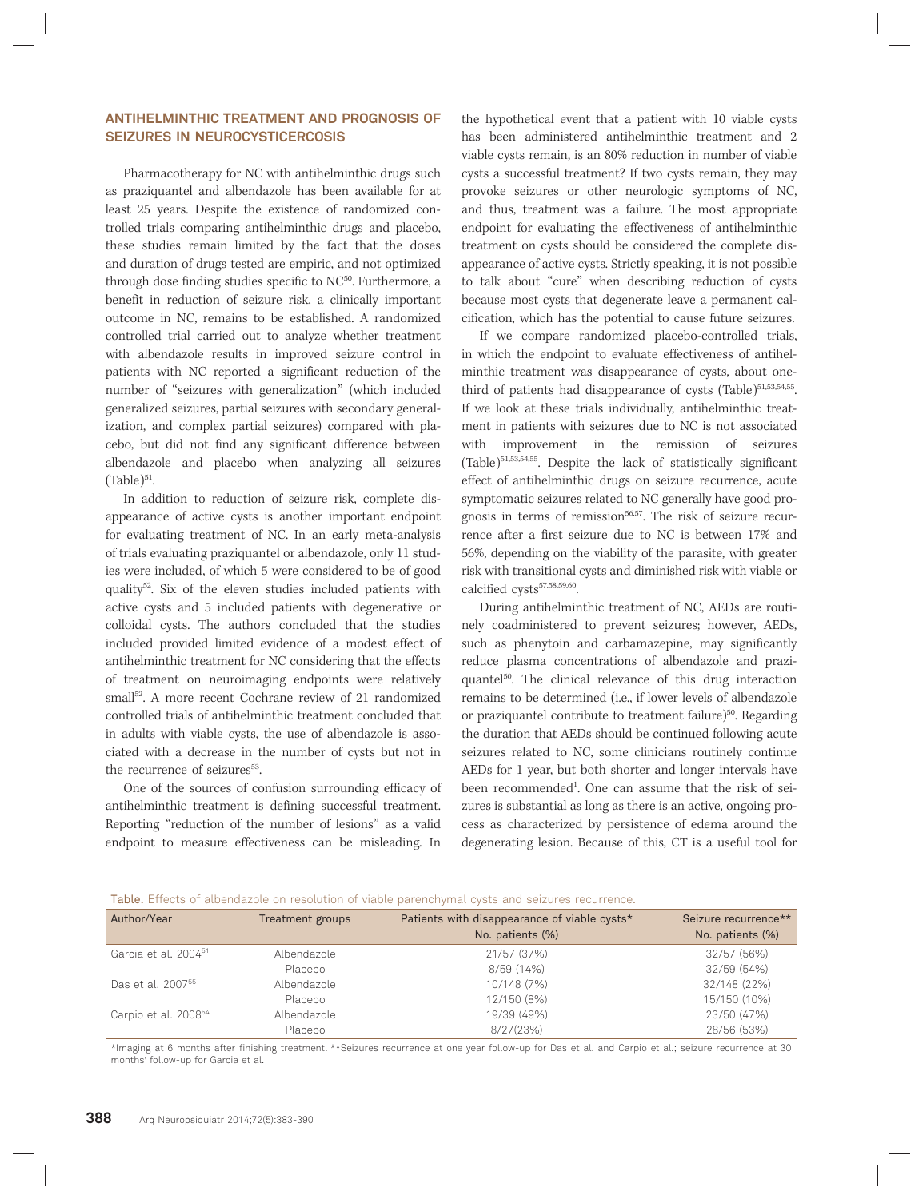### ANTIHELMINTHIC TREATMENT AND PROGNOSIS OF SEIZURES IN NEUROCYSTICERCOSIS

Pharmacotherapy for NC with antihelminthic drugs such as praziquantel and albendazole has been available for at least 25 years. Despite the existence of randomized controlled trials comparing antihelminthic drugs and placebo, these studies remain limited by the fact that the doses and duration of drugs tested are empiric, and not optimized through dose finding studies specific to  $NC<sup>50</sup>$ . Furthermore, a benefit in reduction of seizure risk, a clinically important outcome in NC, remains to be established. A randomized controlled trial carried out to analyze whether treatment with albendazole results in improved seizure control in patients with NC reported a significant reduction of the number of "seizures with generalization" (which included generalized seizures, partial seizures with secondary generalization, and complex partial seizures) compared with placebo, but did not find any significant difference between albendazole and placebo when analyzing all seizures  $(Table)^{51}$ .

In addition to reduction of seizure risk, complete disappearance of active cysts is another important endpoint for evaluating treatment of NC. In an early meta-analysis of trials evaluating praziquantel or albendazole, only 11 studies were included, of which 5 were considered to be of good quality<sup>52</sup>. Six of the eleven studies included patients with active cysts and 5 included patients with degenerative or colloidal cysts. The authors concluded that the studies included provided limited evidence of a modest effect of antihelminthic treatment for NC considering that the effects of treatment on neuroimaging endpoints were relatively small<sup>52</sup>. A more recent Cochrane review of 21 randomized controlled trials of antihelminthic treatment concluded that in adults with viable cysts, the use of albendazole is associated with a decrease in the number of cysts but not in the recurrence of seizures<sup>53</sup>.

One of the sources of confusion surrounding efficacy of antihelminthic treatment is defining successful treatment. Reporting "reduction of the number of lesions" as a valid endpoint to measure effectiveness can be misleading. In

the hypothetical event that a patient with 10 viable cysts has been administered antihelminthic treatment and 2 viable cysts remain, is an 80% reduction in number of viable cysts a successful treatment? If two cysts remain, they may provoke seizures or other neurologic symptoms of NC, and thus, treatment was a failure. The most appropriate endpoint for evaluating the effectiveness of antihelminthic treatment on cysts should be considered the complete disappearance of active cysts. Strictly speaking, it is not possible to talk about "cure" when describing reduction of cysts because most cysts that degenerate leave a permanent calcification, which has the potential to cause future seizures.

If we compare randomized placebo-controlled trials, in which the endpoint to evaluate effectiveness of antihelminthic treatment was disappearance of cysts, about onethird of patients had disappearance of cysts (Table)<sup>51,53,54,55</sup>. If we look at these trials individually, antihelminthic treatment in patients with seizures due to NC is not associated with improvement in the remission of seizures (Table)51,53,54,55. Despite the lack of statistically significant effect of antihelminthic drugs on seizure recurrence, acute symptomatic seizures related to NC generally have good prognosis in terms of remission<sup>56,57</sup>. The risk of seizure recurrence after a first seizure due to NC is between 17% and 56%, depending on the viability of the parasite, with greater risk with transitional cysts and diminished risk with viable or calcified cysts<sup>57,58,59,60</sup>.

During antihelminthic treatment of NC, AEDs are routinely coadministered to prevent seizures; however, AEDs, such as phenytoin and carbamazepine, may significantly reduce plasma concentrations of albendazole and praziquantel<sup>50</sup>. The clinical relevance of this drug interaction remains to be determined (i.e., if lower levels of albendazole or praziquantel contribute to treatment failure) $50$ . Regarding the duration that AEDs should be continued following acute seizures related to NC, some clinicians routinely continue AEDs for 1 year, but both shorter and longer intervals have been recommended<sup>1</sup>. One can assume that the risk of seizures is substantial as long as there is an active, ongoing process as characterized by persistence of edema around the degenerating lesion. Because of this, CT is a useful tool for

| Table. Effects of albendazole on resolution of viable parenchymal cysts and seizures recurrence. |                  |                                                                  |                                          |
|--------------------------------------------------------------------------------------------------|------------------|------------------------------------------------------------------|------------------------------------------|
| Author/Year                                                                                      | Treatment groups | Patients with disappearance of viable cysts*<br>No. patients (%) | Seizure recurrence**<br>No. patients (%) |
| Garcia et al. 2004 <sup>51</sup>                                                                 | Albendazole      | 21/57 (37%)                                                      | 32/57 (56%)                              |
|                                                                                                  | Placebo          | 8/59 (14%)                                                       | 32/59 (54%)                              |
| Das et al. 2007 <sup>55</sup>                                                                    | Albendazole      | 10/148 (7%)                                                      | 32/148 (22%)                             |
|                                                                                                  | Placebo          | 12/150 (8%)                                                      | 15/150 (10%)                             |
| Carpio et al. 2008 <sup>54</sup>                                                                 | Albendazole      | 19/39 (49%)                                                      | 23/50 (47%)                              |
|                                                                                                  | Placebo          | 8/27(23%)                                                        | 28/56 (53%)                              |

\*Imaging at 6 months after finishing treatment. \*\*Seizures recurrence at one year follow-up for Das et al. and Carpio et al.; seizure recurrence at 30

months' follow-up for Garcia et al.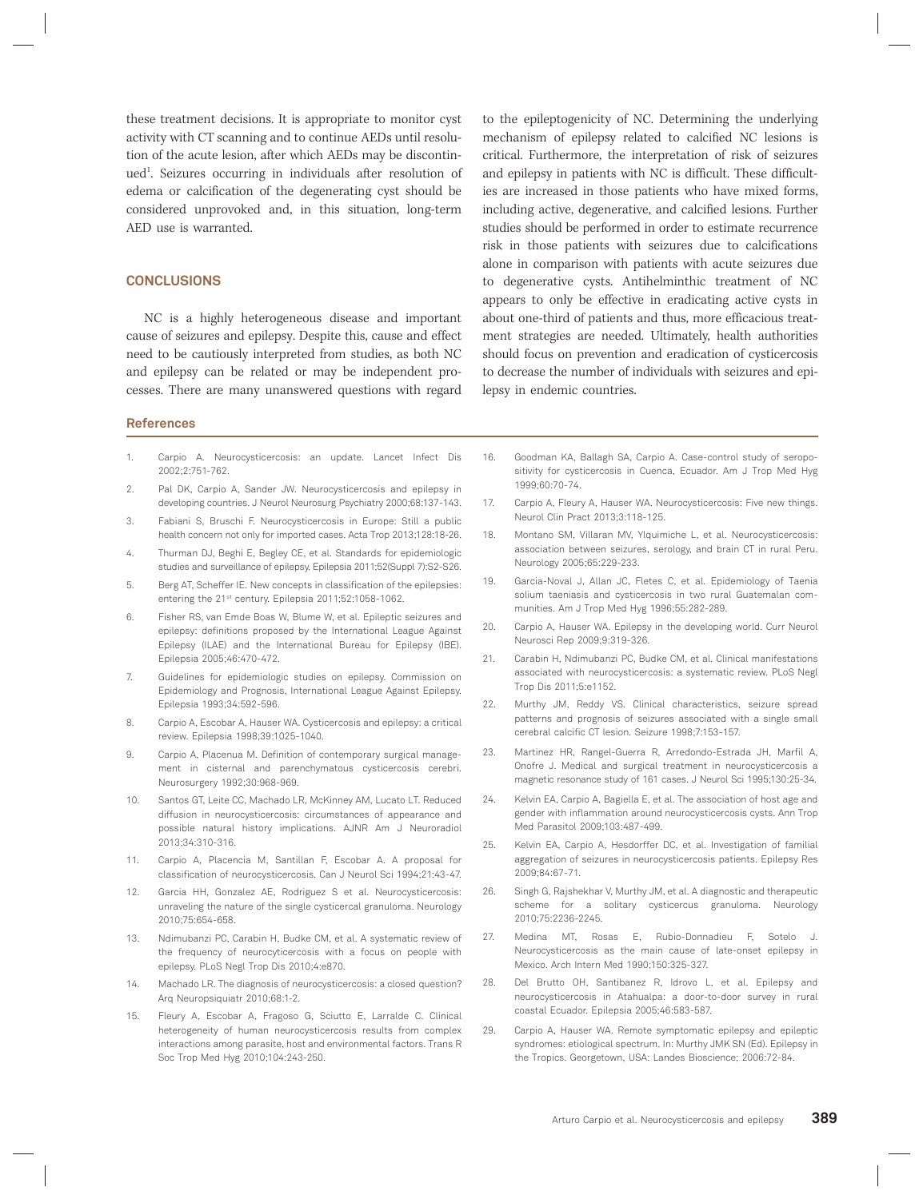these treatment decisions. It is appropriate to monitor cyst activity with CT scanning and to continue AEDs until resolution of the acute lesion, after which AEDs may be discontinued<sup>1</sup>. Seizures occurring in individuals after resolution of edema or calcification of the degenerating cyst should be considered unprovoked and, in this situation, long-term AED use is warranted.

#### **CONCLUSIONS**

NC is a highly heterogeneous disease and important cause of seizures and epilepsy. Despite this, cause and effect need to be cautiously interpreted from studies, as both NC and epilepsy can be related or may be independent processes. There are many unanswered questions with regard

#### References

- 1. Carpio A. Neurocysticercosis: an update. Lancet Infect Dis 2002;2:751-762.
- 2. Pal DK, Carpio A, Sander JW. Neurocysticercosis and epilepsy in developing countries. J Neurol Neurosurg Psychiatry 2000;68:137-143.
- 3. Fabiani S, Bruschi F. Neurocysticercosis in Europe: Still a public health concern not only for imported cases. Acta Trop 2013;128:18-26.
- 4. Thurman DJ, Beghi E, Begley CE, et al. Standards for epidemiologic studies and surveillance of epilepsy. Epilepsia 2011;52(Suppl 7):S2-S26.
- 5. Berg AT, Scheffer IE. New concepts in classification of the epilepsies: entering the 21<sup>st</sup> century. Epilepsia 2011;52:1058-1062.
- 6. Fisher RS, van Emde Boas W, Blume W, et al. Epileptic seizures and epilepsy: definitions proposed by the International League Against Epilepsy (ILAE) and the International Bureau for Epilepsy (IBE). Epilepsia 2005;46:470-472.
- 7. Guidelines for epidemiologic studies on epilepsy. Commission on Epidemiology and Prognosis, International League Against Epilepsy. Epilepsia 1993;34:592-596.
- 8. Carpio A, Escobar A, Hauser WA. Cysticercosis and epilepsy: a critical review. Epilepsia 1998;39:1025-1040.
- 9. Carpio A, Placenua M. Definition of contemporary surgical management in cisternal and parenchymatous cysticercosis cerebri. Neurosurgery 1992;30:968-969.
- 10. Santos GT, Leite CC, Machado LR, McKinney AM, Lucato LT. Reduced diffusion in neurocysticercosis: circumstances of appearance and possible natural history implications. AJNR Am J Neuroradiol 2013;34:310-316.
- 11. Carpio A, Placencia M, Santillan F, Escobar A. A proposal for classification of neurocysticercosis. Can J Neurol Sci 1994;21:43-47.
- 12. Garcia HH, Gonzalez AE, Rodriguez S et al. Neurocysticercosis: unraveling the nature of the single cysticercal granuloma. Neurology 2010;75:654-658.
- 13. Ndimubanzi PC, Carabin H, Budke CM, et al. A systematic review of the frequency of neurocyticercosis with a focus on people with epilepsy. PLoS Negl Trop Dis 2010;4:e870.
- 14. Machado LR. The diagnosis of neurocysticercosis: a closed question? Arq Neuropsiquiatr 2010;68:1-2.
- 15. Fleury A, Escobar A, Fragoso G, Sciutto E, Larralde C. Clinical heterogeneity of human neurocysticercosis results from complex interactions among parasite, host and environmental factors. Trans R Soc Trop Med Hyg 2010;104:243-250.

to the epileptogenicity of NC. Determining the underlying mechanism of epilepsy related to calcified NC lesions is critical. Furthermore, the interpretation of risk of seizures and epilepsy in patients with NC is difficult. These difficulties are increased in those patients who have mixed forms, including active, degenerative, and calcified lesions. Further studies should be performed in order to estimate recurrence risk in those patients with seizures due to calcifications alone in comparison with patients with acute seizures due to degenerative cysts. Antihelminthic treatment of NC appears to only be effective in eradicating active cysts in about one-third of patients and thus, more efficacious treatment strategies are needed. Ultimately, health authorities should focus on prevention and eradication of cysticercosis to decrease the number of individuals with seizures and epilepsy in endemic countries.

- 16. Goodman KA, Ballagh SA, Carpio A. Case-control study of seropositivity for cysticercosis in Cuenca, Ecuador. Am J Trop Med Hyg 1999;60:70-74.
- 17. Carpio A, Fleury A, Hauser WA. Neurocysticercosis: Five new things. Neurol Clin Pract 2013;3:118-125.
- 18. Montano SM, Villaran MV, Ylquimiche L, et al. Neurocysticercosis: association between seizures, serology, and brain CT in rural Peru. Neurology 2005;65:229-233.
- 19. Garcia-Noval J, Allan JC, Fletes C, et al. Epidemiology of Taenia solium taeniasis and cysticercosis in two rural Guatemalan communities. Am J Trop Med Hyg 1996;55:282-289.
- 20. Carpio A, Hauser WA. Epilepsy in the developing world. Curr Neurol Neurosci Rep 2009;9:319-326.
- 21. Carabin H, Ndimubanzi PC, Budke CM, et al. Clinical manifestations associated with neurocysticercosis: a systematic review. PLoS Negl Trop Dis 2011;5:e1152.
- 22. Murthy JM, Reddy VS. Clinical characteristics, seizure spread patterns and prognosis of seizures associated with a single small cerebral calcific CT lesion. Seizure 1998;7:153-157.
- 23. Martinez HR, Rangel-Guerra R, Arredondo-Estrada JH, Marfil A, Onofre J. Medical and surgical treatment in neurocysticercosis a magnetic resonance study of 161 cases. J Neurol Sci 1995;130:25-34.
- 24. Kelvin EA, Carpio A, Bagiella E, et al. The association of host age and gender with inflammation around neurocysticercosis cysts. Ann Trop Med Parasitol 2009;103:487-499.
- 25. Kelvin EA, Carpio A, Hesdorffer DC, et al. Investigation of familial aggregation of seizures in neurocysticercosis patients. Epilepsy Res 2009;84:67-71.
- 26. Singh G, Rajshekhar V, Murthy JM, et al. A diagnostic and therapeutic scheme for a solitary cysticercus granuloma. Neurology 2010;75:2236-2245.
- 27. Medina MT, Rosas E, Rubio-Donnadieu F, Sotelo J. Neurocysticercosis as the main cause of late-onset epilepsy in Mexico. Arch Intern Med 1990;150:325-327.
- 28. Del Brutto OH, Santibanez R, Idrovo L, et al. Epilepsy and neurocysticercosis in Atahualpa: a door-to-door survey in rural coastal Ecuador. Epilepsia 2005;46:583-587.
- 29. Carpio A, Hauser WA. Remote symptomatic epilepsy and epileptic syndromes: etiological spectrum. In: Murthy JMK SN (Ed). Epilepsy in the Tropics. Georgetown, USA: Landes Bioscience; 2006:72-84.